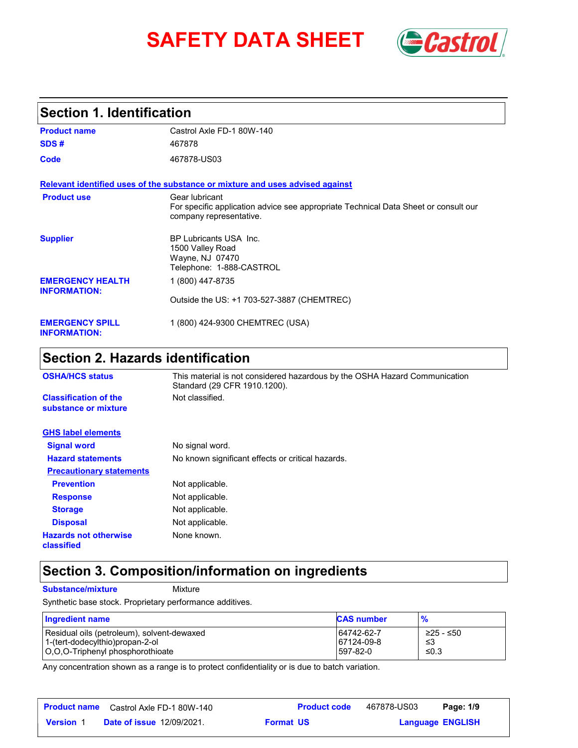# **SAFETY DATA SHEET** *Castrol*



### **Section 1. Identification**

| <b>Product name</b>                            | Castrol Axle FD-1 80W-140                                                                                                        |
|------------------------------------------------|----------------------------------------------------------------------------------------------------------------------------------|
| SDS#                                           | 467878                                                                                                                           |
| Code                                           | 467878-US03                                                                                                                      |
|                                                | Relevant identified uses of the substance or mixture and uses advised against                                                    |
| <b>Product use</b>                             | Gear lubricant<br>For specific application advice see appropriate Technical Data Sheet or consult our<br>company representative. |
| <b>Supplier</b>                                | <b>BP Lubricants USA Inc.</b><br>1500 Valley Road<br>Wayne, NJ 07470<br>Telephone: 1-888-CASTROL                                 |
| <b>EMERGENCY HEALTH</b><br><b>INFORMATION:</b> | 1 (800) 447-8735                                                                                                                 |
|                                                | Outside the US: +1 703-527-3887 (CHEMTREC)                                                                                       |
| <b>EMERGENCY SPILL</b><br><b>INFORMATION:</b>  | 1 (800) 424-9300 CHEMTREC (USA)                                                                                                  |

# **Section 2. Hazards identification**

| <b>OSHA/HCS status</b>                               | This material is not considered hazardous by the OSHA Hazard Communication<br>Standard (29 CFR 1910.1200). |  |
|------------------------------------------------------|------------------------------------------------------------------------------------------------------------|--|
| <b>Classification of the</b><br>substance or mixture | Not classified.                                                                                            |  |
| <b>GHS label elements</b>                            |                                                                                                            |  |
| <b>Signal word</b>                                   | No signal word.                                                                                            |  |
| <b>Hazard statements</b>                             | No known significant effects or critical hazards.                                                          |  |
| <b>Precautionary statements</b>                      |                                                                                                            |  |
| <b>Prevention</b>                                    | Not applicable.                                                                                            |  |
| <b>Response</b>                                      | Not applicable.                                                                                            |  |
| <b>Storage</b>                                       | Not applicable.                                                                                            |  |
| <b>Disposal</b>                                      | Not applicable.                                                                                            |  |
| <b>Hazards not otherwise</b><br>classified           | None known.                                                                                                |  |

## **Section 3. Composition/information on ingredients**

**Substance/mixture Mixture** 

Synthetic base stock. Proprietary performance additives.

| <b>Ingredient name</b>                     | <b>CAS number</b> | $\frac{9}{6}$ |
|--------------------------------------------|-------------------|---------------|
| Residual oils (petroleum), solvent-dewaxed | 64742-62-7        | ≥25 - ≤50     |
| 1-(tert-dodecylthio)propan-2-ol            | 67124-09-8        | -≤3           |
| O,O,O-Triphenyl phosphorothioate           | 1597-82-0         | ≤0.3          |

Any concentration shown as a range is to protect confidentiality or is due to batch variation.

|                  | <b>Product name</b> Castrol Axle FD-1 80W-140 | <b>Product code</b> | 467878-US03 | Page: 1/9               |  |
|------------------|-----------------------------------------------|---------------------|-------------|-------------------------|--|
| <b>Version 1</b> | <b>Date of issue 12/09/2021.</b>              | <b>Format US</b>    |             | <b>Language ENGLISH</b> |  |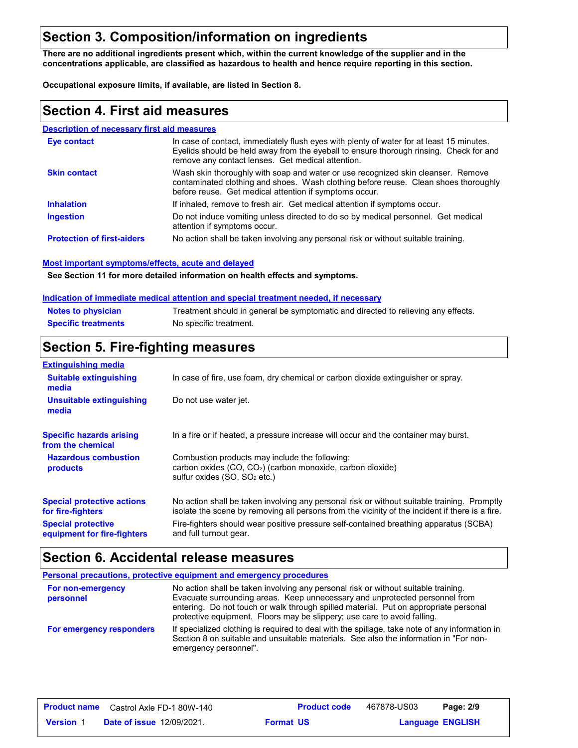### **Section 3. Composition/information on ingredients**

**There are no additional ingredients present which, within the current knowledge of the supplier and in the concentrations applicable, are classified as hazardous to health and hence require reporting in this section.**

**Occupational exposure limits, if available, are listed in Section 8.**

### **Section 4. First aid measures**

#### **Description of necessary first aid measures**

| <b>Eve contact</b>                | In case of contact, immediately flush eyes with plenty of water for at least 15 minutes.<br>Eyelids should be held away from the eyeball to ensure thorough rinsing. Check for and<br>remove any contact lenses. Get medical attention. |
|-----------------------------------|-----------------------------------------------------------------------------------------------------------------------------------------------------------------------------------------------------------------------------------------|
| <b>Skin contact</b>               | Wash skin thoroughly with soap and water or use recognized skin cleanser. Remove<br>contaminated clothing and shoes. Wash clothing before reuse. Clean shoes thoroughly<br>before reuse. Get medical attention if symptoms occur.       |
| <b>Inhalation</b>                 | If inhaled, remove to fresh air. Get medical attention if symptoms occur.                                                                                                                                                               |
| <b>Ingestion</b>                  | Do not induce vomiting unless directed to do so by medical personnel. Get medical<br>attention if symptoms occur.                                                                                                                       |
| <b>Protection of first-aiders</b> | No action shall be taken involving any personal risk or without suitable training.                                                                                                                                                      |

#### **Most important symptoms/effects, acute and delayed**

**See Section 11 for more detailed information on health effects and symptoms.**

#### **Indication of immediate medical attention and special treatment needed, if necessary**

| <b>Notes to physician</b>  | Treatment should in general be symptomatic and directed to relieving any effects. |
|----------------------------|-----------------------------------------------------------------------------------|
| <b>Specific treatments</b> | No specific treatment.                                                            |

### **Section 5. Fire-fighting measures**

| <b>Extinguishing media</b>                                                                                                 |                                                                                                                                                                                                |  |
|----------------------------------------------------------------------------------------------------------------------------|------------------------------------------------------------------------------------------------------------------------------------------------------------------------------------------------|--|
| In case of fire, use foam, dry chemical or carbon dioxide extinguisher or spray.<br><b>Suitable extinguishing</b><br>media |                                                                                                                                                                                                |  |
| Unsuitable extinguishing<br>media                                                                                          | Do not use water jet.                                                                                                                                                                          |  |
| <b>Specific hazards arising</b><br>from the chemical                                                                       | In a fire or if heated, a pressure increase will occur and the container may burst.                                                                                                            |  |
| <b>Hazardous combustion</b><br>products                                                                                    | Combustion products may include the following:<br>carbon oxides $(CO, CO2)$ (carbon monoxide, carbon dioxide)<br>sulfur oxides $(SO, SO2 etc.)$                                                |  |
| <b>Special protective actions</b><br>for fire-fighters                                                                     | No action shall be taken involving any personal risk or without suitable training. Promptly<br>isolate the scene by removing all persons from the vicinity of the incident if there is a fire. |  |
| <b>Special protective</b><br>equipment for fire-fighters                                                                   | Fire-fighters should wear positive pressure self-contained breathing apparatus (SCBA)<br>and full turnout gear.                                                                                |  |

### **Section 6. Accidental release measures**

| Personal precautions, protective equipment and emergency procedures |                                                                                                                                                                                                                                                                                                                                       |  |  |
|---------------------------------------------------------------------|---------------------------------------------------------------------------------------------------------------------------------------------------------------------------------------------------------------------------------------------------------------------------------------------------------------------------------------|--|--|
| For non-emergency<br>personnel                                      | No action shall be taken involving any personal risk or without suitable training.<br>Evacuate surrounding areas. Keep unnecessary and unprotected personnel from<br>entering. Do not touch or walk through spilled material. Put on appropriate personal<br>protective equipment. Floors may be slippery; use care to avoid falling. |  |  |
| For emergency responders                                            | If specialized clothing is required to deal with the spillage, take note of any information in<br>Section 8 on suitable and unsuitable materials. See also the information in "For non-<br>emergency personnel".                                                                                                                      |  |  |

|                  | <b>Product name</b> Castrol Axle FD-1 80W-140 | <b>Product code</b> | 467878-US03 | Page: 2/9               |  |
|------------------|-----------------------------------------------|---------------------|-------------|-------------------------|--|
| <b>Version 1</b> | <b>Date of issue 12/09/2021.</b>              | <b>Format US</b>    |             | <b>Language ENGLISH</b> |  |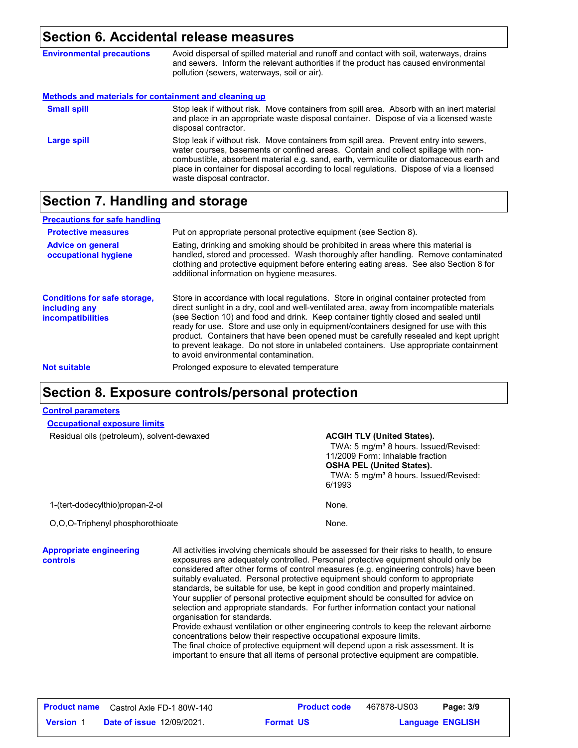# **Section 6. Accidental release measures**

| <b>Environmental precautions</b>                      | Avoid dispersal of spilled material and runoff and contact with soil, waterways, drains<br>and sewers. Inform the relevant authorities if the product has caused environmental<br>pollution (sewers, waterways, soil or air).                                                                                                                                                                      |
|-------------------------------------------------------|----------------------------------------------------------------------------------------------------------------------------------------------------------------------------------------------------------------------------------------------------------------------------------------------------------------------------------------------------------------------------------------------------|
| Methods and materials for containment and cleaning up |                                                                                                                                                                                                                                                                                                                                                                                                    |
| <b>Small spill</b>                                    | Stop leak if without risk. Move containers from spill area. Absorb with an inert material<br>and place in an appropriate waste disposal container. Dispose of via a licensed waste<br>disposal contractor.                                                                                                                                                                                         |
| Large spill                                           | Stop leak if without risk. Move containers from spill area. Prevent entry into sewers,<br>water courses, basements or confined areas. Contain and collect spillage with non-<br>combustible, absorbent material e.g. sand, earth, vermiculite or diatomaceous earth and<br>place in container for disposal according to local regulations. Dispose of via a licensed<br>waste disposal contractor. |

# **Section 7. Handling and storage**

| <b>Precautions for safe handling</b>                                             |                                                                                                                                                                                                                                                                                                                                                                                                                                                                                                                                                                                               |
|----------------------------------------------------------------------------------|-----------------------------------------------------------------------------------------------------------------------------------------------------------------------------------------------------------------------------------------------------------------------------------------------------------------------------------------------------------------------------------------------------------------------------------------------------------------------------------------------------------------------------------------------------------------------------------------------|
| <b>Protective measures</b>                                                       | Put on appropriate personal protective equipment (see Section 8).                                                                                                                                                                                                                                                                                                                                                                                                                                                                                                                             |
| <b>Advice on general</b><br>occupational hygiene                                 | Eating, drinking and smoking should be prohibited in areas where this material is<br>handled, stored and processed. Wash thoroughly after handling. Remove contaminated<br>clothing and protective equipment before entering eating areas. See also Section 8 for<br>additional information on hygiene measures.                                                                                                                                                                                                                                                                              |
| <b>Conditions for safe storage,</b><br>including any<br><i>incompatibilities</i> | Store in accordance with local regulations. Store in original container protected from<br>direct sunlight in a dry, cool and well-ventilated area, away from incompatible materials<br>(see Section 10) and food and drink. Keep container tightly closed and sealed until<br>ready for use. Store and use only in equipment/containers designed for use with this<br>product. Containers that have been opened must be carefully resealed and kept upright<br>to prevent leakage. Do not store in unlabeled containers. Use appropriate containment<br>to avoid environmental contamination. |
| <b>Not suitable</b>                                                              | Prolonged exposure to elevated temperature                                                                                                                                                                                                                                                                                                                                                                                                                                                                                                                                                    |
|                                                                                  |                                                                                                                                                                                                                                                                                                                                                                                                                                                                                                                                                                                               |

# **Section 8. Exposure controls/personal protection**

#### **Control parameters**

| <b>Occupational exposure limits</b>                                                                                                                                                                                                                                                                                                                                                                                                                                                                                                                                                                                                                                                                                                                                                                                                                                                                                                                                                                                                                      |  |                                                                                                                                                                                                                               |
|----------------------------------------------------------------------------------------------------------------------------------------------------------------------------------------------------------------------------------------------------------------------------------------------------------------------------------------------------------------------------------------------------------------------------------------------------------------------------------------------------------------------------------------------------------------------------------------------------------------------------------------------------------------------------------------------------------------------------------------------------------------------------------------------------------------------------------------------------------------------------------------------------------------------------------------------------------------------------------------------------------------------------------------------------------|--|-------------------------------------------------------------------------------------------------------------------------------------------------------------------------------------------------------------------------------|
| Residual oils (petroleum), solvent-dewaxed                                                                                                                                                                                                                                                                                                                                                                                                                                                                                                                                                                                                                                                                                                                                                                                                                                                                                                                                                                                                               |  | <b>ACGIH TLV (United States).</b><br>TWA: 5 mg/m <sup>3</sup> 8 hours. Issued/Revised:<br>11/2009 Form: Inhalable fraction<br><b>OSHA PEL (United States).</b><br>TWA: 5 mg/m <sup>3</sup> 8 hours. Issued/Revised:<br>6/1993 |
| 1-(tert-dodecylthio)propan-2-ol                                                                                                                                                                                                                                                                                                                                                                                                                                                                                                                                                                                                                                                                                                                                                                                                                                                                                                                                                                                                                          |  | None.                                                                                                                                                                                                                         |
| O,O,O-Triphenyl phosphorothioate                                                                                                                                                                                                                                                                                                                                                                                                                                                                                                                                                                                                                                                                                                                                                                                                                                                                                                                                                                                                                         |  | None.                                                                                                                                                                                                                         |
| <b>Appropriate engineering</b><br>All activities involving chemicals should be assessed for their risks to health, to ensure<br>exposures are adequately controlled. Personal protective equipment should only be<br>controls<br>considered after other forms of control measures (e.g. engineering controls) have been<br>suitably evaluated. Personal protective equipment should conform to appropriate<br>standards, be suitable for use, be kept in good condition and properly maintained.<br>Your supplier of personal protective equipment should be consulted for advice on<br>selection and appropriate standards. For further information contact your national<br>organisation for standards.<br>Provide exhaust ventilation or other engineering controls to keep the relevant airborne<br>concentrations below their respective occupational exposure limits.<br>The final choice of protective equipment will depend upon a risk assessment. It is<br>important to ensure that all items of personal protective equipment are compatible. |  |                                                                                                                                                                                                                               |

|                  | <b>Product name</b> Castrol Axle FD-1 80W-140 |                  | <b>Product code</b> | 467878-US03             | Page: 3/9 |  |
|------------------|-----------------------------------------------|------------------|---------------------|-------------------------|-----------|--|
| <b>Version</b> 1 | <b>Date of issue 12/09/2021.</b>              | <b>Format US</b> |                     | <b>Language ENGLISH</b> |           |  |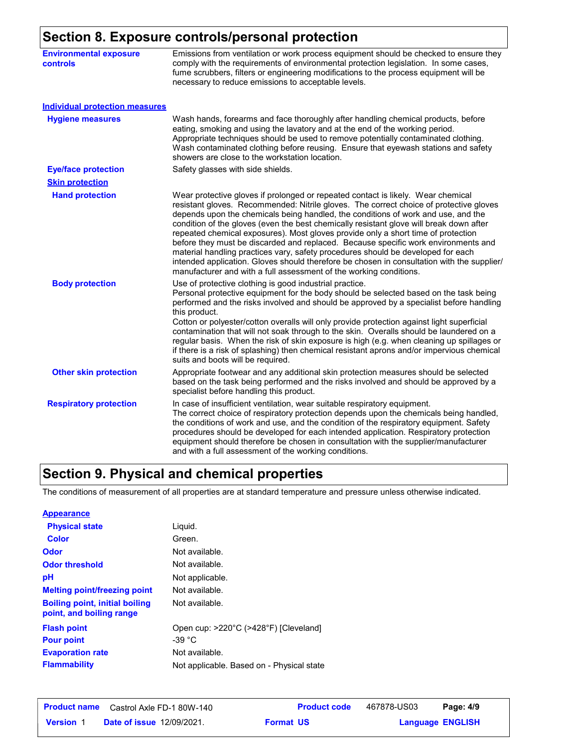# **Section 8. Exposure controls/personal protection**

| <b>Environmental exposure</b><br><b>controls</b> | Emissions from ventilation or work process equipment should be checked to ensure they<br>comply with the requirements of environmental protection legislation. In some cases,<br>fume scrubbers, filters or engineering modifications to the process equipment will be<br>necessary to reduce emissions to acceptable levels.                                                                                                                                                                                                                                                                                                                                                                                                                                                                 |  |  |  |
|--------------------------------------------------|-----------------------------------------------------------------------------------------------------------------------------------------------------------------------------------------------------------------------------------------------------------------------------------------------------------------------------------------------------------------------------------------------------------------------------------------------------------------------------------------------------------------------------------------------------------------------------------------------------------------------------------------------------------------------------------------------------------------------------------------------------------------------------------------------|--|--|--|
| <b>Individual protection measures</b>            |                                                                                                                                                                                                                                                                                                                                                                                                                                                                                                                                                                                                                                                                                                                                                                                               |  |  |  |
| <b>Hygiene measures</b>                          | Wash hands, forearms and face thoroughly after handling chemical products, before<br>eating, smoking and using the lavatory and at the end of the working period.<br>Appropriate techniques should be used to remove potentially contaminated clothing.<br>Wash contaminated clothing before reusing. Ensure that eyewash stations and safety<br>showers are close to the workstation location.                                                                                                                                                                                                                                                                                                                                                                                               |  |  |  |
| <b>Eye/face protection</b>                       | Safety glasses with side shields.                                                                                                                                                                                                                                                                                                                                                                                                                                                                                                                                                                                                                                                                                                                                                             |  |  |  |
| <b>Skin protection</b>                           |                                                                                                                                                                                                                                                                                                                                                                                                                                                                                                                                                                                                                                                                                                                                                                                               |  |  |  |
| <b>Hand protection</b>                           | Wear protective gloves if prolonged or repeated contact is likely. Wear chemical<br>resistant gloves. Recommended: Nitrile gloves. The correct choice of protective gloves<br>depends upon the chemicals being handled, the conditions of work and use, and the<br>condition of the gloves (even the best chemically resistant glove will break down after<br>repeated chemical exposures). Most gloves provide only a short time of protection<br>before they must be discarded and replaced. Because specific work environments and<br>material handling practices vary, safety procedures should be developed for each<br>intended application. Gloves should therefore be chosen in consultation with the supplier/<br>manufacturer and with a full assessment of the working conditions. |  |  |  |
| <b>Body protection</b>                           | Use of protective clothing is good industrial practice.<br>Personal protective equipment for the body should be selected based on the task being<br>performed and the risks involved and should be approved by a specialist before handling<br>this product.<br>Cotton or polyester/cotton overalls will only provide protection against light superficial<br>contamination that will not soak through to the skin. Overalls should be laundered on a<br>regular basis. When the risk of skin exposure is high (e.g. when cleaning up spillages or<br>if there is a risk of splashing) then chemical resistant aprons and/or impervious chemical<br>suits and boots will be required.                                                                                                         |  |  |  |
| <b>Other skin protection</b>                     | Appropriate footwear and any additional skin protection measures should be selected<br>based on the task being performed and the risks involved and should be approved by a<br>specialist before handling this product.                                                                                                                                                                                                                                                                                                                                                                                                                                                                                                                                                                       |  |  |  |
| <b>Respiratory protection</b>                    | In case of insufficient ventilation, wear suitable respiratory equipment.<br>The correct choice of respiratory protection depends upon the chemicals being handled,<br>the conditions of work and use, and the condition of the respiratory equipment. Safety<br>procedures should be developed for each intended application. Respiratory protection<br>equipment should therefore be chosen in consultation with the supplier/manufacturer<br>and with a full assessment of the working conditions.                                                                                                                                                                                                                                                                                         |  |  |  |

# **Section 9. Physical and chemical properties**

The conditions of measurement of all properties are at standard temperature and pressure unless otherwise indicated.

| <b>Appearance</b>                                                 |                                           |
|-------------------------------------------------------------------|-------------------------------------------|
| <b>Physical state</b>                                             | Liguid.                                   |
| Color                                                             | Green.                                    |
| <b>Odor</b>                                                       | Not available.                            |
| <b>Odor threshold</b>                                             | Not available.                            |
| рH                                                                | Not applicable.                           |
| <b>Melting point/freezing point</b>                               | Not available.                            |
| <b>Boiling point, initial boiling</b><br>point, and boiling range | Not available.                            |
| <b>Flash point</b>                                                | Open cup: >220°C (>428°F) [Cleveland]     |
| <b>Pour point</b>                                                 | -39 $^{\circ}$ C                          |
| <b>Evaporation rate</b>                                           | Not available.                            |
| <b>Flammability</b>                                               | Not applicable. Based on - Physical state |

|                  | <b>Product name</b> Castrol Axle FD-1 80W-140 | <b>Product code</b> | 467878-US03 | Page: 4/9               |  |
|------------------|-----------------------------------------------|---------------------|-------------|-------------------------|--|
| <b>Version 1</b> | <b>Date of issue 12/09/2021.</b>              | <b>Format US</b>    |             | <b>Language ENGLISH</b> |  |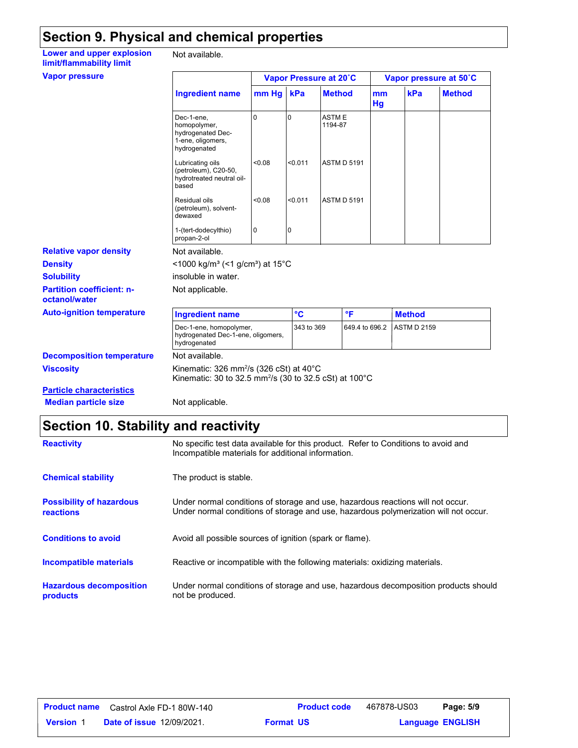# **Section 9. Physical and chemical properties**

| Lower and upper explosion |  |
|---------------------------|--|
| limit/flammability limit  |  |
| <b>Vapor pressure</b>     |  |

Not available.

| <b>Vapor pressure</b>                             |                                                                                                                                     |                |                 | Vapor Pressure at 20°C  |                | Vapor pressure at 50°C |               |
|---------------------------------------------------|-------------------------------------------------------------------------------------------------------------------------------------|----------------|-----------------|-------------------------|----------------|------------------------|---------------|
|                                                   | <b>Ingredient name</b>                                                                                                              | mm Hg          | kPa             | <b>Method</b>           | mm<br>Hg       | kPa                    | <b>Method</b> |
|                                                   | Dec-1-ene.<br>homopolymer,<br>hydrogenated Dec-<br>1-ene, oligomers,<br>hydrogenated                                                | $\Omega$       | $\Omega$        | <b>ASTME</b><br>1194-87 |                |                        |               |
|                                                   | Lubricating oils<br>(petroleum), C20-50,<br>hydrotreated neutral oil-<br>based                                                      | < 0.08         | < 0.011         | <b>ASTM D 5191</b>      |                |                        |               |
|                                                   | Residual oils<br>(petroleum), solvent-<br>dewaxed                                                                                   | < 0.08         | < 0.011         | <b>ASTM D 5191</b>      |                |                        |               |
|                                                   | 1-(tert-dodecylthio)<br>propan-2-ol                                                                                                 | $\overline{0}$ | 0               |                         |                |                        |               |
| <b>Relative vapor density</b>                     | Not available.                                                                                                                      |                |                 |                         |                |                        |               |
| <b>Density</b>                                    | <1000 kg/m <sup>3</sup> (<1 g/cm <sup>3</sup> ) at 15 <sup>°</sup> C                                                                |                |                 |                         |                |                        |               |
| <b>Solubility</b>                                 | insoluble in water.                                                                                                                 |                |                 |                         |                |                        |               |
| <b>Partition coefficient: n-</b><br>octanol/water | Not applicable.                                                                                                                     |                |                 |                         |                |                        |               |
| <b>Auto-ignition temperature</b>                  | <b>Ingredient name</b>                                                                                                              |                | $\rm ^{\circ}C$ | °F                      |                | <b>Method</b>          |               |
|                                                   | Dec-1-ene, homopolymer,<br>hydrogenated Dec-1-ene, oligomers,<br>hydrogenated                                                       |                | 343 to 369      |                         | 649.4 to 696.2 | <b>ASTM D 2159</b>     |               |
| <b>Decomposition temperature</b>                  | Not available.                                                                                                                      |                |                 |                         |                |                        |               |
| <b>Viscosity</b>                                  | Kinematic: 326 mm <sup>2</sup> /s (326 cSt) at 40 $\degree$ C<br>Kinematic: 30 to 32.5 mm <sup>2</sup> /s (30 to 32.5 cSt) at 100°C |                |                 |                         |                |                        |               |
| <b>Particle characteristics</b>                   |                                                                                                                                     |                |                 |                         |                |                        |               |
| <b>Median particle size</b>                       | Not applicable.                                                                                                                     |                |                 |                         |                |                        |               |

# **Section 10. Stability and reactivity**

| <b>Reactivity</b>                                   | No specific test data available for this product. Refer to Conditions to avoid and<br>Incompatible materials for additional information.                                |
|-----------------------------------------------------|-------------------------------------------------------------------------------------------------------------------------------------------------------------------------|
| <b>Chemical stability</b>                           | The product is stable.                                                                                                                                                  |
| <b>Possibility of hazardous</b><br><b>reactions</b> | Under normal conditions of storage and use, hazardous reactions will not occur.<br>Under normal conditions of storage and use, hazardous polymerization will not occur. |
| <b>Conditions to avoid</b>                          | Avoid all possible sources of ignition (spark or flame).                                                                                                                |
| <b>Incompatible materials</b>                       | Reactive or incompatible with the following materials: oxidizing materials.                                                                                             |
| <b>Hazardous decomposition</b><br>products          | Under normal conditions of storage and use, hazardous decomposition products should<br>not be produced.                                                                 |

| <b>Product name</b> | Castrol Axle FD-1 80W-140        |                  | <b>Product code</b> | 467878-US03 | Page: 5/9               |  |
|---------------------|----------------------------------|------------------|---------------------|-------------|-------------------------|--|
| <b>Version 1</b>    | <b>Date of issue 12/09/2021.</b> | <b>Format US</b> |                     |             | <b>Language ENGLISH</b> |  |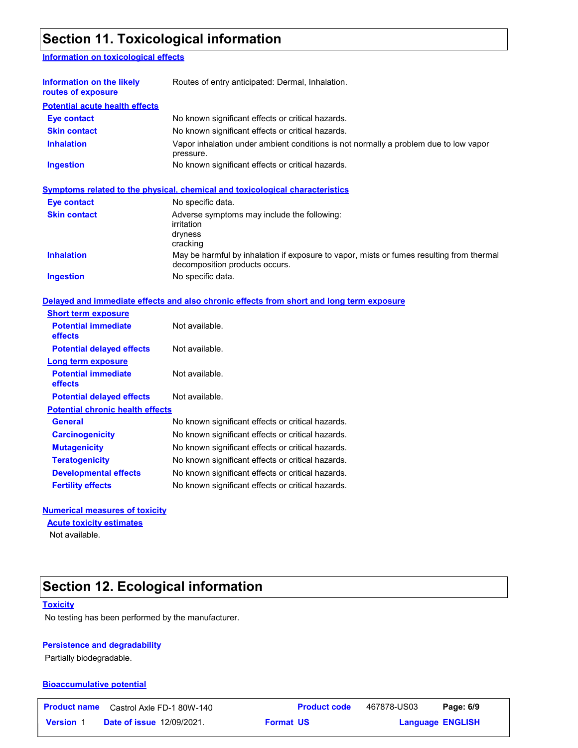## **Section 11. Toxicological information**

#### **Information on toxicological effects**

| Information on the likely<br>routes of exposure | Routes of entry anticipated: Dermal, Inhalation.                                                                           |  |  |  |
|-------------------------------------------------|----------------------------------------------------------------------------------------------------------------------------|--|--|--|
| <b>Potential acute health effects</b>           |                                                                                                                            |  |  |  |
| Eye contact                                     | No known significant effects or critical hazards.                                                                          |  |  |  |
| <b>Skin contact</b>                             | No known significant effects or critical hazards.                                                                          |  |  |  |
| <b>Inhalation</b>                               | Vapor inhalation under ambient conditions is not normally a problem due to low vapor<br>pressure.                          |  |  |  |
| <b>Ingestion</b>                                | No known significant effects or critical hazards.                                                                          |  |  |  |
| Eye contact                                     | Symptoms related to the physical, chemical and toxicological characteristics<br>No specific data.                          |  |  |  |
| <b>Skin contact</b>                             | Adverse symptoms may include the following:<br>irritation<br>dryness<br>cracking                                           |  |  |  |
| <b>Inhalation</b>                               | May be harmful by inhalation if exposure to vapor, mists or fumes resulting from thermal<br>decomposition products occurs. |  |  |  |
| <b>Ingestion</b>                                | No specific data.                                                                                                          |  |  |  |

#### **Delayed and immediate effects and also chronic effects from short and long term exposure**

| <b>Short term exposure</b>                   |                                                   |
|----------------------------------------------|---------------------------------------------------|
| <b>Potential immediate</b><br><b>effects</b> | Not available.                                    |
| <b>Potential delayed effects</b>             | Not available.                                    |
| Long term exposure                           |                                                   |
| <b>Potential immediate</b><br>effects        | Not available.                                    |
| <b>Potential delayed effects</b>             | Not available.                                    |
| <b>Potential chronic health effects</b>      |                                                   |
| General                                      | No known significant effects or critical hazards. |
| <b>Carcinogenicity</b>                       | No known significant effects or critical hazards. |
| <b>Mutagenicity</b>                          | No known significant effects or critical hazards. |
| <b>Teratogenicity</b>                        | No known significant effects or critical hazards. |
| <b>Developmental effects</b>                 | No known significant effects or critical hazards. |
| <b>Fertility effects</b>                     | No known significant effects or critical hazards. |

#### **Numerical measures of toxicity**

**Acute toxicity estimates**

Not available.

# **Section 12. Ecological information**

#### **Toxicity**

No testing has been performed by the manufacturer.

#### **Persistence and degradability**

Partially biodegradable.

#### **Bioaccumulative potential**

|                  | <b>Product name</b> Castrol Axle FD-1 80W-140 | <b>Product code</b> | 467878-US03 | Page: 6/9               |  |
|------------------|-----------------------------------------------|---------------------|-------------|-------------------------|--|
| <b>Version 1</b> | <b>Date of issue 12/09/2021.</b>              | <b>Format US</b>    |             | <b>Language ENGLISH</b> |  |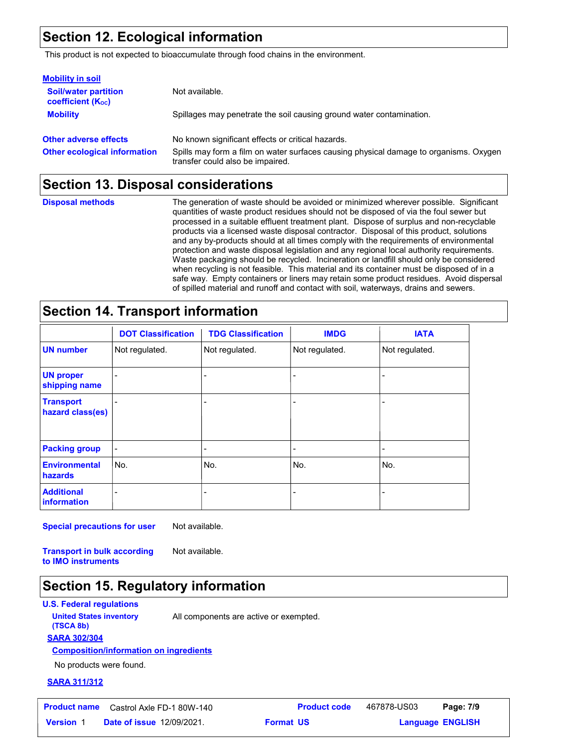### **Section 12. Ecological information**

This product is not expected to bioaccumulate through food chains in the environment.

| <b>Mobility in soil</b>                                 |                                                                                                                           |
|---------------------------------------------------------|---------------------------------------------------------------------------------------------------------------------------|
| <b>Soil/water partition</b><br><b>coefficient (Koc)</b> | Not available.                                                                                                            |
| <b>Mobility</b>                                         | Spillages may penetrate the soil causing ground water contamination.                                                      |
| <b>Other adverse effects</b>                            | No known significant effects or critical hazards.                                                                         |
| <b>Other ecological information</b>                     | Spills may form a film on water surfaces causing physical damage to organisms. Oxygen<br>transfer could also be impaired. |

### **Section 13. Disposal considerations**

The generation of waste should be avoided or minimized wherever possible. Significant quantities of waste product residues should not be disposed of via the foul sewer but processed in a suitable effluent treatment plant. Dispose of surplus and non-recyclable products via a licensed waste disposal contractor. Disposal of this product, solutions and any by-products should at all times comply with the requirements of environmental protection and waste disposal legislation and any regional local authority requirements. Waste packaging should be recycled. Incineration or landfill should only be considered when recycling is not feasible. This material and its container must be disposed of in a safe way. Empty containers or liners may retain some product residues. Avoid dispersal of spilled material and runoff and contact with soil, waterways, drains and sewers. **Disposal methods**

### **Section 14. Transport information**

|                                      | <b>DOT Classification</b> | <b>TDG Classification</b> | <b>IMDG</b>    | <b>IATA</b>    |
|--------------------------------------|---------------------------|---------------------------|----------------|----------------|
| <b>UN number</b>                     | Not regulated.            | Not regulated.            | Not regulated. | Not regulated. |
| <b>UN proper</b><br>shipping name    |                           |                           |                |                |
| <b>Transport</b><br>hazard class(es) |                           |                           |                |                |
| <b>Packing group</b>                 | $\blacksquare$            |                           |                |                |
| <b>Environmental</b><br>hazards      | No.                       | No.                       | No.            | lNo.           |
| <b>Additional</b><br>information     |                           |                           |                |                |

**Special precautions for user** Not available.

**Transport in bulk according to IMO instruments** Not available.

### **Section 15. Regulatory information**

**U.S. Federal regulations**

**United States inventory** All components are active or exempted.

#### **SARA 302/304 (TSCA 8b)**

#### **Composition/information on ingredients**

No products were found.

#### **SARA 311/312**

**Product name** Castrol Axle FD-1 80W-140 **Product code** 467878-US03 **Page: 7/9**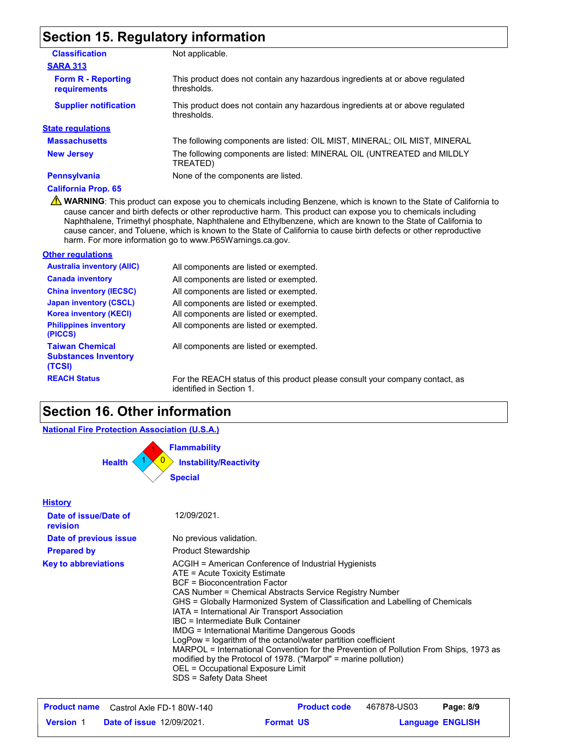# **Section 15. Regulatory information**

| <b>Classification</b>                     | Not applicable.                                                                              |
|-------------------------------------------|----------------------------------------------------------------------------------------------|
| <b>SARA 313</b>                           |                                                                                              |
| <b>Form R - Reporting</b><br>requirements | This product does not contain any hazardous ingredients at or above regulated<br>thresholds. |
| <b>Supplier notification</b>              | This product does not contain any hazardous ingredients at or above regulated<br>thresholds. |
| <b>State regulations</b>                  |                                                                                              |
| <b>Massachusetts</b>                      | The following components are listed: OIL MIST, MINERAL; OIL MIST, MINERAL                    |
| <b>New Jersey</b>                         | The following components are listed: MINERAL OIL (UNTREATED and MILDLY<br>TREATED)           |
| <b>Pennsylvania</b>                       | None of the components are listed.                                                           |
| <b>California Prop. 65</b>                |                                                                                              |

**A** WARNING: This product can expose you to chemicals including Benzene, which is known to the State of California to cause cancer and birth defects or other reproductive harm. This product can expose you to chemicals including Naphthalene, Trimethyl phosphate, Naphthalene and Ethylbenzene, which are known to the State of California to cause cancer, and Toluene, which is known to the State of California to cause birth defects or other reproductive harm. For more information go to www.P65Warnings.ca.gov.

#### **Other regulations**

| <b>Australia inventory (AIIC)</b>                               | All components are listed or exempted.      |
|-----------------------------------------------------------------|---------------------------------------------|
| <b>Canada inventory</b>                                         | All components are listed or exempted.      |
| <b>China inventory (IECSC)</b>                                  | All components are listed or exempted.      |
| <b>Japan inventory (CSCL)</b>                                   | All components are listed or exempted.      |
| <b>Korea inventory (KECI)</b>                                   | All components are listed or exempted.      |
| <b>Philippines inventory</b><br>(PICCS)                         | All components are listed or exempted.      |
| <b>Taiwan Chemical</b><br><b>Substances Inventory</b><br>(TCSI) | All components are listed or exempted.      |
| <b>REACH Status</b>                                             | For the REACH status of this product please |

**REACH Status** For the REACH status of this product please consult your company contact, as identified in Section 1.

### **Section 16. Other information**

#### **National Fire Protection Association (U.S.A.)**



| <b>History</b>                    |                                                                                                                                                                                                                                                                                                                                                                                                                                                                                                                                                                                                                                                                                                                |
|-----------------------------------|----------------------------------------------------------------------------------------------------------------------------------------------------------------------------------------------------------------------------------------------------------------------------------------------------------------------------------------------------------------------------------------------------------------------------------------------------------------------------------------------------------------------------------------------------------------------------------------------------------------------------------------------------------------------------------------------------------------|
| Date of issue/Date of<br>revision | 12/09/2021.                                                                                                                                                                                                                                                                                                                                                                                                                                                                                                                                                                                                                                                                                                    |
| Date of previous issue            | No previous validation.                                                                                                                                                                                                                                                                                                                                                                                                                                                                                                                                                                                                                                                                                        |
| <b>Prepared by</b>                | <b>Product Stewardship</b>                                                                                                                                                                                                                                                                                                                                                                                                                                                                                                                                                                                                                                                                                     |
| <b>Key to abbreviations</b>       | ACGIH = American Conference of Industrial Hygienists<br>ATE = Acute Toxicity Estimate<br><b>BCF</b> = Bioconcentration Factor<br>CAS Number = Chemical Abstracts Service Registry Number<br>GHS = Globally Harmonized System of Classification and Labelling of Chemicals<br>IATA = International Air Transport Association<br>IBC = Intermediate Bulk Container<br>IMDG = International Maritime Dangerous Goods<br>LogPow = logarithm of the octanol/water partition coefficient<br>MARPOL = International Convention for the Prevention of Pollution From Ships, 1973 as<br>modified by the Protocol of 1978. ("Marpol" = marine pollution)<br>OEL = Occupational Exposure Limit<br>SDS = Safety Data Sheet |

|                  | <b>Product name</b> Castrol Axle FD-1 80W-140 | <b>Product code</b> | 467878-US03 | Page: 8/9               |
|------------------|-----------------------------------------------|---------------------|-------------|-------------------------|
| <b>Version 1</b> | <b>Date of issue 12/09/2021.</b>              | <b>Format US</b>    |             | <b>Language ENGLISH</b> |